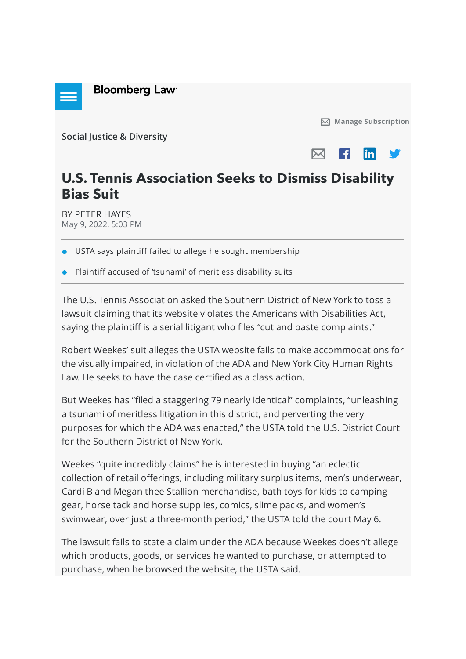

**[Manage Subscription](https://news.bloomberglaw.com/product/blaw/subscriptions)**

**[Social Justice & Diversity](https://news.bloomberglaw.com/product/blaw/bloomberglawnews/social-justice)**



## **U.S. Tennis Association Seeks to Dismiss Disability Bias Suit**

BY [PETER HAYES](mailto:PHayes@bloomberglaw.com) May 9, 2022, 5:03 PM

**OF USTA says plaintiff failed to allege he sought membership** 

Plaintiff accused of 'tsunami' of meritless disability suits

The U.S. Tennis Association asked the Southern District of New York to toss a lawsuit claiming that its website violates the Americans with Disabilities Act, saying the plaintiff is a serial litigant who files "cut and paste complaints."

Robert Weekes' suit alleges the USTA website fails to make accommodations for the visually impaired, in violation of the ADA and New York City Human Rights Law. He seeks to have the case certified as a class action.

But Weekes has "filed a staggering 79 nearly identical" complaints, "unleashing a tsunami of meritless litigation in this district, and perverting the very purposes for which the ADA was enacted," the USTA told the U.S. District Court for the Southern District of New York.

Weekes "quite incredibly claims" he is interested in buying "an eclectic collection of retail offerings, including military surplus items, men's underwear, Cardi B and Megan thee Stallion merchandise, bath toys for kids to camping gear, horse tack and horse supplies, comics, slime packs, and women's swimwear, over just a three-month period," the USTA told the court May 6.

The lawsuit fails to state a claim under the ADA because Weekes doesn't allege which products, goods, or services he wanted to purchase, or attempted to purchase, when he browsed the website, the USTA said.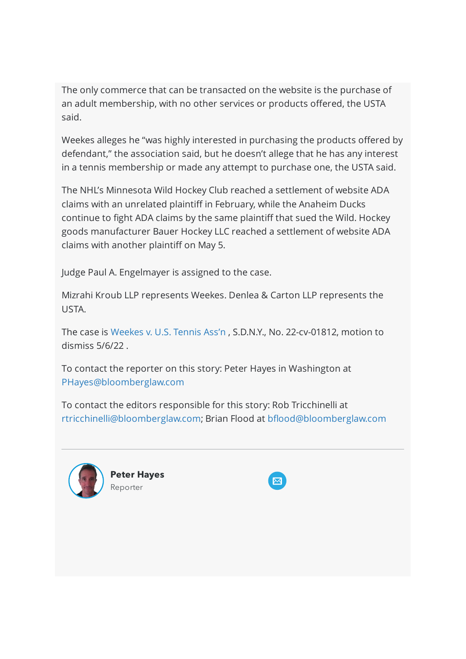The only commerce that can be transacted on the website is the purchase of an adult membership, with no other services or products offered, the USTA said.

Weekes alleges he "was highly interested in purchasing the products offered by defendant," the association said, but he doesn't allege that he has any interest in a tennis membership or made any attempt to purchase one, the USTA said.

The NHL's Minnesota Wild Hockey Club reached a settlement of website ADA claims with an unrelated plaintiff in February, while the Anaheim Ducks continue to fight ADA claims by the same plaintiff that sued the Wild. Hockey goods manufacturer Bauer Hockey LLC reached a settlement of website ADA claims with another plaintiff on May 5.

Judge Paul A. Engelmayer is assigned to the case.

Mizrahi Kroub LLP represents Weekes. Denlea & Carton LLP represents the USTA.

The case is [Weekes v. U.S. Tennis Ass'n](https://www.bloomberglaw.com/public/document/WeekesvUnitedStatesTennisAssociationIncorporatedDocketNo122cv0181?doc_id=X5EC11IMOM69OOO46I4VPNDEILH) , S.D.N.Y., No. 22-cv-01812, motion to dismiss 5/6/22 .

To contact the reporter on this story: Peter Hayes in Washington at [PHayes@bloomberglaw.com](mailto:PHayes@bloomberglaw.com)

To contact the editors responsible for this story: Rob Tricchinelli at [rtricchinelli@bloomberglaw.com;](mailto:rtricchinelli@bloomberglaw.com) Brian Flood at [bflood@bloomberglaw.com](mailto:bflood@bloomberglaw.com)



**Peter Hayes** Reporter

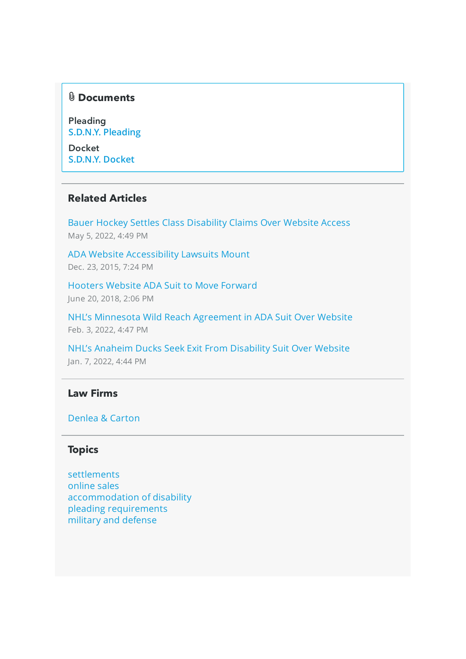#### **Documents**

Pleading **[S.D.N.Y. Pleading](https://www.bloomberglaw.com/public/document/WeekesvUnitedStatesTennisAssociationIncorporatedDocketNo122cv0181?doc_id=X5EC11IMOM69OOO46I4VPNDEILH)**

**Docket [S.D.N.Y. Docket](https://www.bloomberglaw.com/public/document/WeekesvUnitedStatesTennisAssociationIncorporatedDocketNo122cv0181/1?doc_id=X1Q6ODSUVKO2)**

#### **Related Articles**

[Bauer Hockey Settles Class Disability Claims Over Website Access](https://news.bloomberglaw.com/product/blaw/bloomberglawnews/social-justice/BNA%200000018095d7dbf2a3eaddffcc230001?bna_news_filter=social-justice&bc=W1siU2VhcmNoICYgQnJvd3NlIiwiaHR0cHM6Ly93d3cuYmxvb21iZXJnbGF3LmNvbS9wcm9kdWN0L2JsYXcvc2VhcmNoL3Jlc3VsdHMvZjkxM2I4OGQxMDk0ODUyMjc3ODMzYzVhNzllZmFmOTYiXV0--66aa4a23679e16241dfaa9a74a2b13d2c4483ada&criteria_id=f913b88d1094852277833c5a79efaf96) May 5, 2022, 4:49 PM

[ADA Website Accessibility Lawsuits Mount](https://news.bloomberglaw.com/product/blaw/bloomberglawnews/social-justice/BNA%20000001606a90d44ca1f06ebf8a640000?bna_news_filter=social-justice&bc=W1siU2VhcmNoICYgQnJvd3NlIiwiaHR0cHM6Ly93d3cuYmxvb21iZXJnbGF3LmNvbS9wcm9kdWN0L2JsYXcvc2VhcmNoL3Jlc3VsdHMvZjkxM2I4OGQxMDk0ODUyMjc3ODMzYzVhNzllZmFmOTYiXV0--66aa4a23679e16241dfaa9a74a2b13d2c4483ada&criteria_id=f913b88d1094852277833c5a79efaf96) Dec. 23, 2015, 7:24 PM

[Hooters Website ADA Suit to Move Forward](https://news.bloomberglaw.com/product/blaw/bloomberglawnews/social-justice/BNA%20000001641dc7d69aa56f1dc775c00000?bna_news_filter=social-justice&bc=W1siU2VhcmNoICYgQnJvd3NlIiwiaHR0cHM6Ly93d3cuYmxvb21iZXJnbGF3LmNvbS9wcm9kdWN0L2JsYXcvc2VhcmNoL3Jlc3VsdHMvZjkxM2I4OGQxMDk0ODUyMjc3ODMzYzVhNzllZmFmOTYiXV0--66aa4a23679e16241dfaa9a74a2b13d2c4483ada&criteria_id=f913b88d1094852277833c5a79efaf96) June 20, 2018, 2:06 PM

[NHL's Minnesota Wild Reach Agreement in ADA Suit Over Website](https://news.bloomberglaw.com/product/blaw/bloomberglawnews/social-justice/BNA%200000017ec16ad8d4a1ffc96e21f00000?bna_news_filter=social-justice&bc=W1siU2VhcmNoICYgQnJvd3NlIiwiaHR0cHM6Ly93d3cuYmxvb21iZXJnbGF3LmNvbS9wcm9kdWN0L2JsYXcvc2VhcmNoL3Jlc3VsdHMvZjkxM2I4OGQxMDk0ODUyMjc3ODMzYzVhNzllZmFmOTYiXV0--66aa4a23679e16241dfaa9a74a2b13d2c4483ada&criteria_id=f913b88d1094852277833c5a79efaf96) Feb. 3, 2022, 4:47 PM

[NHL's Anaheim Ducks Seek Exit From Disability Suit Over Website](https://news.bloomberglaw.com/product/blaw/bloomberglawnews/social-justice/BNA%200000017e3624df75a17eb627490f0001?bna_news_filter=social-justice&bc=W1siU2VhcmNoICYgQnJvd3NlIiwiaHR0cHM6Ly93d3cuYmxvb21iZXJnbGF3LmNvbS9wcm9kdWN0L2JsYXcvc2VhcmNoL3Jlc3VsdHMvZjkxM2I4OGQxMDk0ODUyMjc3ODMzYzVhNzllZmFmOTYiXV0--66aa4a23679e16241dfaa9a74a2b13d2c4483ada&criteria_id=f913b88d1094852277833c5a79efaf96) Jan. 7, 2022, 4:44 PM

#### **Law Firms**

#### [Denlea & Carton](https://news.bloomberglaw.com/product/blaw/bloomberglawnews/social-justice/search-link?lawFirms=Denlea%20%26%20Carton)

#### **Topics**

[settlements](https://news.bloomberglaw.com/product/blaw/bloomberglawnews/social-justice/search-link?topics=settlements) [online sales](https://news.bloomberglaw.com/product/blaw/bloomberglawnews/social-justice/search-link?topics=online%20sales) [accommodation of disability](https://news.bloomberglaw.com/product/blaw/bloomberglawnews/social-justice/search-link?topics=accommodation%20of%20disability) [pleading requirements](https://news.bloomberglaw.com/product/blaw/bloomberglawnews/social-justice/search-link?topics=pleading%20requirements) [military and defense](https://news.bloomberglaw.com/product/blaw/bloomberglawnews/social-justice/search-link?topics=military%20and%20defense)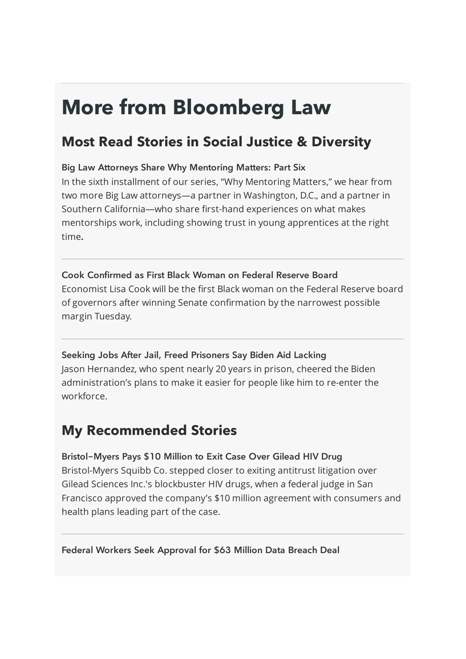# **More from Bloomberg Law**

## **Most Read Stories in Social Justice & Diversity**

#### [Big Law Attorneys Share Why Mentoring Matters: Part Six](https://news.bloomberglaw.com/product/blaw/bloomberglawnews/social-justice/BNA%20000001809451df99a9a4fe534aa90001?bna_news_filter=social-justice&bc=W1siU2VhcmNoICYgQnJvd3NlIiwiaHR0cHM6Ly93d3cuYmxvb21iZXJnbGF3LmNvbS9wcm9kdWN0L2JsYXcvc2VhcmNoL3Jlc3VsdHMvZjkxM2I4OGQxMDk0ODUyMjc3ODMzYzVhNzllZmFmOTYiXV0--66aa4a23679e16241dfaa9a74a2b13d2c4483ada&criteria_id=f913b88d1094852277833c5a79efaf96)

In the sixth installment of our series, "Why Mentoring Matters," we hear from two more Big Law attorneys—a partner in Washington, D.C., and a partner in Southern California—who share first-hand experiences on what makes mentorships work, including showing trust in young apprentices at the right time**.**

#### [Cook Confirmed as First Black Woman on Federal Reserve Board](https://news.bloomberglaw.com/product/blaw/bloomberglawnews/social-justice/BNA%2000000180b040d12ea5cff366f7800001?bna_news_filter=social-justice&bc=W1siU2VhcmNoICYgQnJvd3NlIiwiaHR0cHM6Ly93d3cuYmxvb21iZXJnbGF3LmNvbS9wcm9kdWN0L2JsYXcvc2VhcmNoL3Jlc3VsdHMvZjkxM2I4OGQxMDk0ODUyMjc3ODMzYzVhNzllZmFmOTYiXV0--66aa4a23679e16241dfaa9a74a2b13d2c4483ada&criteria_id=f913b88d1094852277833c5a79efaf96)

Economist Lisa Cook will be the first Black woman on the Federal Reserve board of governors after winning Senate confirmation by the narrowest possible margin Tuesday.

#### [Seeking Jobs After Jail, Freed Prisoners Say Biden Aid Lacking](https://news.bloomberglaw.com/product/blaw/bloomberglawnews/social-justice/BNA%20000001808a5fd21eafbafeff58c20001?bna_news_filter=social-justice&bc=W1siU2VhcmNoICYgQnJvd3NlIiwiaHR0cHM6Ly93d3cuYmxvb21iZXJnbGF3LmNvbS9wcm9kdWN0L2JsYXcvc2VhcmNoL3Jlc3VsdHMvZjkxM2I4OGQxMDk0ODUyMjc3ODMzYzVhNzllZmFmOTYiXV0--66aa4a23679e16241dfaa9a74a2b13d2c4483ada&criteria_id=f913b88d1094852277833c5a79efaf96)

Jason Hernandez, who spent nearly 20 years in prison, cheered the Biden administration's plans to make it easier for people like him to re-enter the workforce.

## **My Recommended Stories**

health plans leading part of the case.

#### [Bristol-Myers Pays \\$10 Million to Exit Case Over Gilead HIV Drug](https://news.bloomberglaw.com/product/blaw/bloomberglawnews/social-justice/BNA%2000000180a953d63eab82bbdbfc9b0000?bna_news_filter=social-justice&bc=W1siU2VhcmNoICYgQnJvd3NlIiwiaHR0cHM6Ly93d3cuYmxvb21iZXJnbGF3LmNvbS9wcm9kdWN0L2JsYXcvc2VhcmNoL3Jlc3VsdHMvZjkxM2I4OGQxMDk0ODUyMjc3ODMzYzVhNzllZmFmOTYiXV0--66aa4a23679e16241dfaa9a74a2b13d2c4483ada&criteria_id=f913b88d1094852277833c5a79efaf96) Bristol-Myers Squibb Co. stepped closer to exiting antitrust litigation over Gilead Sciences Inc.'s blockbuster HIV drugs, when a federal judge in San Francisco approved the company's \$10 million agreement with consumers and

#### [Federal Workers Seek Approval for \\$63 Million Data Breach Deal](https://news.bloomberglaw.com/product/blaw/bloomberglawnews/social-justice/BNA%2000000180a9acd1ffa5a5fbbf55810001?bna_news_filter=social-justice&bc=W1siU2VhcmNoICYgQnJvd3NlIiwiaHR0cHM6Ly93d3cuYmxvb21iZXJnbGF3LmNvbS9wcm9kdWN0L2JsYXcvc2VhcmNoL3Jlc3VsdHMvZjkxM2I4OGQxMDk0ODUyMjc3ODMzYzVhNzllZmFmOTYiXV0--66aa4a23679e16241dfaa9a74a2b13d2c4483ada&criteria_id=f913b88d1094852277833c5a79efaf96)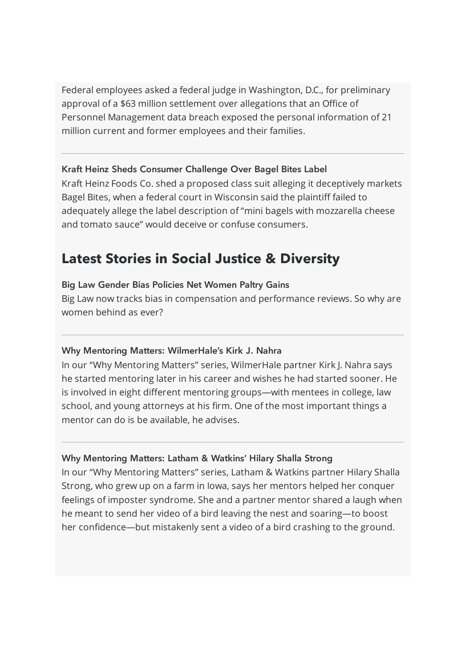Federal employees asked a federal judge in Washington, D.C., for preliminary approval of a \$63 million settlement over allegations that an Office of Personnel Management data breach exposed the personal information of 21 million current and former employees and their families.

#### [Kraft Heinz Sheds Consumer Challenge Over Bagel Bites Label](https://news.bloomberglaw.com/product/blaw/bloomberglawnews/social-justice/BNA%2000000180a8e9d63eab82baf92e190001?bna_news_filter=social-justice&bc=W1siU2VhcmNoICYgQnJvd3NlIiwiaHR0cHM6Ly93d3cuYmxvb21iZXJnbGF3LmNvbS9wcm9kdWN0L2JsYXcvc2VhcmNoL3Jlc3VsdHMvZjkxM2I4OGQxMDk0ODUyMjc3ODMzYzVhNzllZmFmOTYiXV0--66aa4a23679e16241dfaa9a74a2b13d2c4483ada&criteria_id=f913b88d1094852277833c5a79efaf96)

Kraft Heinz Foods Co. shed a proposed class suit alleging it deceptively markets Bagel Bites, when a federal court in Wisconsin said the plaintiff failed to adequately allege the label description of "mini bagels with mozzarella cheese and tomato sauce" would deceive or confuse consumers.

### **Latest Stories in Social Justice & Diversity**

#### [Big Law Gender Bias Policies Net Women Paltry Gains](https://news.bloomberglaw.com/product/blaw/bloomberglawnews/social-justice/BNA%200000018086aed4a3a78e97bfab120000?bna_news_filter=social-justice&bc=W1siU2VhcmNoICYgQnJvd3NlIiwiaHR0cHM6Ly93d3cuYmxvb21iZXJnbGF3LmNvbS9wcm9kdWN0L2JsYXcvc2VhcmNoL3Jlc3VsdHMvZjkxM2I4OGQxMDk0ODUyMjc3ODMzYzVhNzllZmFmOTYiXV0--66aa4a23679e16241dfaa9a74a2b13d2c4483ada&criteria_id=f913b88d1094852277833c5a79efaf96)

Big Law now tracks bias in compensation and performance reviews. So why are women behind as ever?

#### [Why Mentoring Matters: WilmerHale's Kirk J. Nahra](https://news.bloomberglaw.com/product/blaw/bloomberglawnews/social-justice/BNA%200000017f934ad31ba5ff9fef23380000?bna_news_filter=social-justice&bc=W1siU2VhcmNoICYgQnJvd3NlIiwiaHR0cHM6Ly93d3cuYmxvb21iZXJnbGF3LmNvbS9wcm9kdWN0L2JsYXcvc2VhcmNoL3Jlc3VsdHMvZjkxM2I4OGQxMDk0ODUyMjc3ODMzYzVhNzllZmFmOTYiXV0--66aa4a23679e16241dfaa9a74a2b13d2c4483ada&criteria_id=f913b88d1094852277833c5a79efaf96)

In our "Why Mentoring Matters" series, WilmerHale partner Kirk J. Nahra says he started mentoring later in his career and wishes he had started sooner. He is involved in eight different mentoring groups—with mentees in college, law school, and young attorneys at his firm. One of the most important things a mentor can do is be available, he advises.

#### [Why Mentoring Matters: Latham & Watkins' Hilary Shalla Strong](https://news.bloomberglaw.com/product/blaw/bloomberglawnews/social-justice/BNA%200000017f79b9ddfeabff7bb93b4d0001?bna_news_filter=social-justice&bc=W1siU2VhcmNoICYgQnJvd3NlIiwiaHR0cHM6Ly93d3cuYmxvb21iZXJnbGF3LmNvbS9wcm9kdWN0L2JsYXcvc2VhcmNoL3Jlc3VsdHMvZjkxM2I4OGQxMDk0ODUyMjc3ODMzYzVhNzllZmFmOTYiXV0--66aa4a23679e16241dfaa9a74a2b13d2c4483ada&criteria_id=f913b88d1094852277833c5a79efaf96)

In our "Why Mentoring Matters" series, Latham & Watkins partner Hilary Shalla Strong, who grew up on a farm in Iowa, says her mentors helped her conquer feelings of imposter syndrome. She and a partner mentor shared a laugh when he meant to send her video of a bird leaving the nest and soaring—to boost her confidence—but mistakenly sent a video of a bird crashing to the ground.